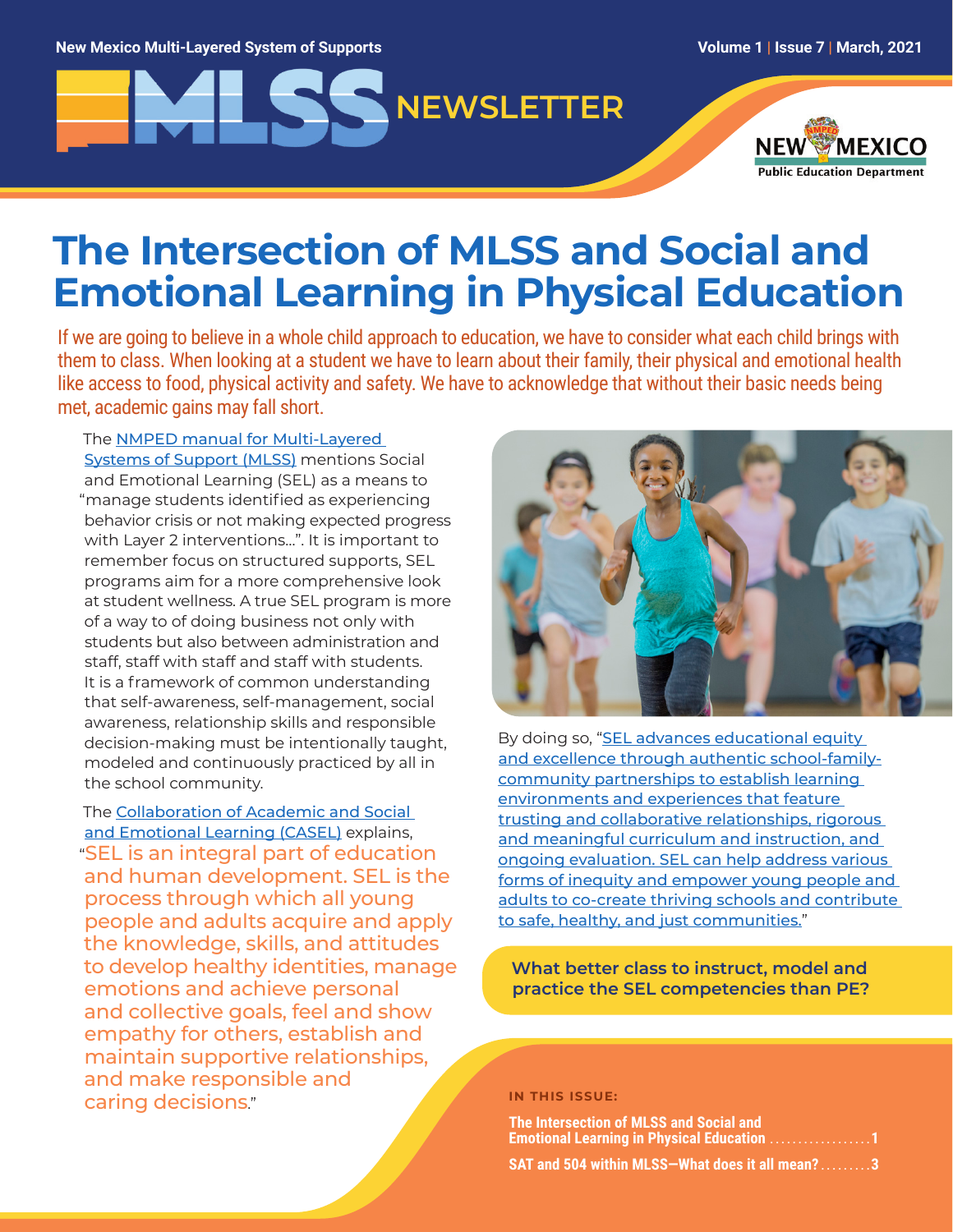# **NEWSLETTER**



# **The Intersection of MLSS and Social and Emotional Learning in Physical Education**

If we are going to believe in a whole child approach to education, we have to consider what each child brings with them to class. When looking at a student we have to learn about their family, their physical and emotional health like access to food, physical activity and safety. We have to acknowledge that without their basic needs being met, academic gains may fall short.

The [NMPED manual for Multi-Layered](https://webnew.ped.state.nm.us/wp-content/uploads/2020/11/MLSS_Manual_2020.pdf)  [Systems of Support \(MLSS](https://webnew.ped.state.nm.us/wp-content/uploads/2020/11/MLSS_Manual_2020.pdf)) mentions Social and Emotional Learning (SEL) as a means to "manage students identified as experiencing behavior crisis or not making expected progress with Layer 2 interventions…". It is important to remember focus on structured supports, SEL programs aim for a more comprehensive look at student wellness. A true SEL program is more of a way to of doing business not only with students but also between administration and staff, staff with staff and staff with students. It is a framework of common understanding that self-awareness, self-management, social awareness, relationship skills and responsible decision-making must be intentionally taught, modeled and continuously practiced by all in the school community.

The [Collaboration of Academic and Social](https://casel.org/)  [and Emotional Learning \(CASEL\)](https://casel.org/) explains, "SEL is an integral part of education and human development. SEL is the process through which all young people and adults acquire and apply the knowledge, skills, and attitudes to develop healthy identities, manage emotions and achieve personal and collective goals, feel and show empathy for others, establish and maintain supportive relationships, and make responsible and caring decisions."



By doing so, "SEL advances educational equity [and excellence through authentic school-family](https://schoolguide.casel.org/what-is-sel/what-is-sel/)[community partnerships to establish learning](https://schoolguide.casel.org/what-is-sel/what-is-sel/)  [environments and experiences that feature](https://schoolguide.casel.org/what-is-sel/what-is-sel/)  [trusting and collaborative relationships, rigorous](https://schoolguide.casel.org/what-is-sel/what-is-sel/)  [and meaningful curriculum and instruction, and](https://schoolguide.casel.org/what-is-sel/what-is-sel/)  [ongoing evaluation. SEL can help address various](https://schoolguide.casel.org/what-is-sel/what-is-sel/)  [forms of inequity and empower young people and](https://schoolguide.casel.org/what-is-sel/what-is-sel/)  [adults to co-create thriving schools and contribute](https://schoolguide.casel.org/what-is-sel/what-is-sel/)  [to safe, healthy, and just communities.](https://schoolguide.casel.org/what-is-sel/what-is-sel/)"

**What better class to instruct, model and practice the SEL competencies than PE?** 

**IN THIS ISSUE:**

**The Intersection of MLSS and Social and Emotional Learning in Physical Education** 

**SAT and 504 within MLSS—What does it all mean? . . . . . . . . 3**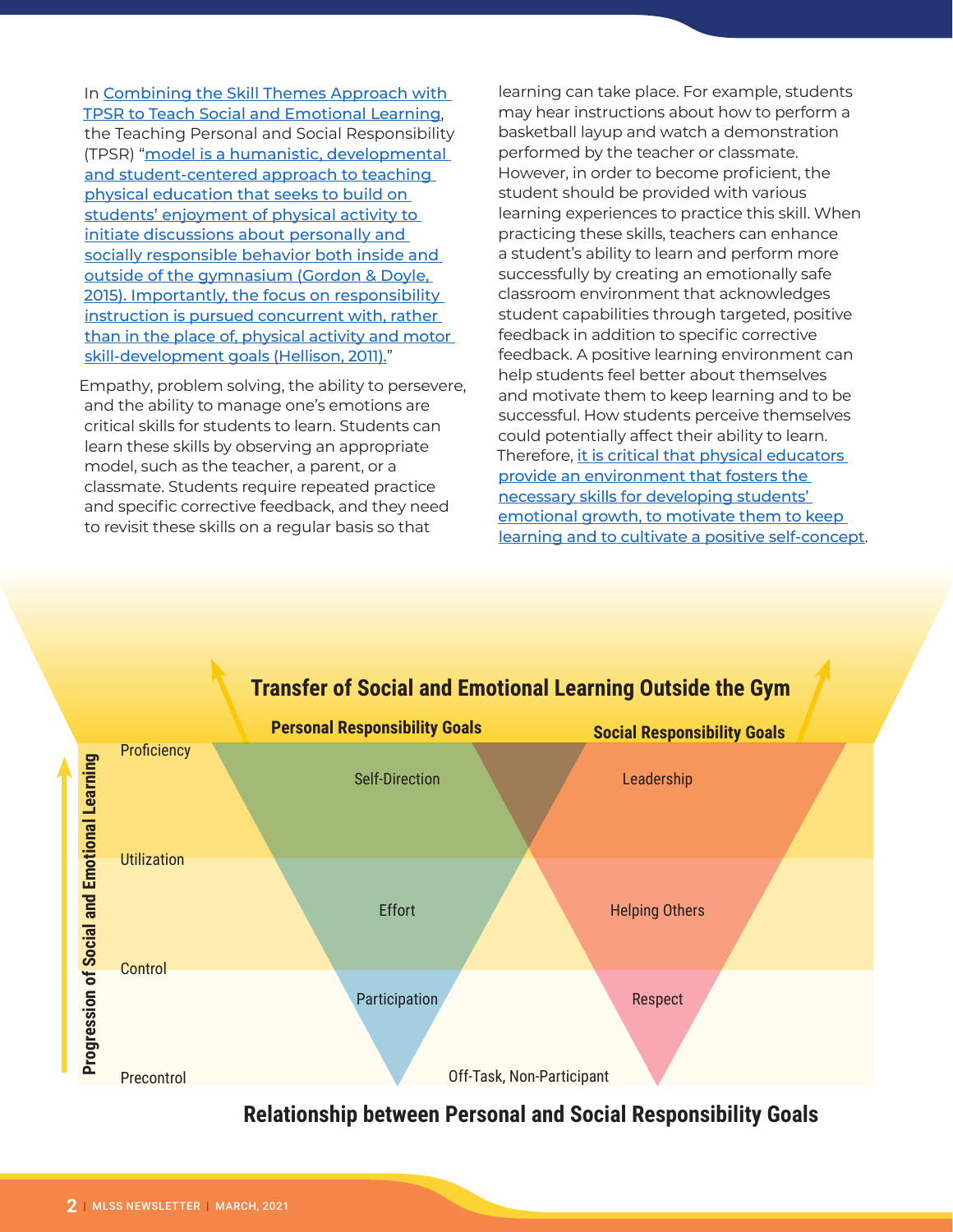In [Combining the Skill Themes Approach with](https://www.shapeamerica.org/uploads/pdfs/2019/publications/joperd/Combining-the-Skills-Theme-Approach.pdf)  [TPSR to Teach Social and Emotional Learning](https://www.shapeamerica.org/uploads/pdfs/2019/publications/joperd/Combining-the-Skills-Theme-Approach.pdf), the Teaching Personal and Social Responsibility (TPSR) "[model is a humanistic, developmental](https://www.shapeamerica.org/publications/journals/joperd/JOPERD_articles/2019/march-2019-free-access-article.aspx)  [and student-centered approach to teaching](https://www.shapeamerica.org/publications/journals/joperd/JOPERD_articles/2019/march-2019-free-access-article.aspx)  [physical education that seeks to build on](https://www.shapeamerica.org/publications/journals/joperd/JOPERD_articles/2019/march-2019-free-access-article.aspx)  [students' enjoyment of physical activity to](https://www.shapeamerica.org/publications/journals/joperd/JOPERD_articles/2019/march-2019-free-access-article.aspx)  [initiate discussions about personally and](https://www.shapeamerica.org/publications/journals/joperd/JOPERD_articles/2019/march-2019-free-access-article.aspx)  socially responsible behavior both inside and [outside of the gymnasium \(Gordon & Doyle,](https://www.shapeamerica.org/publications/journals/joperd/JOPERD_articles/2019/march-2019-free-access-article.aspx)  [2015\). Importantly, the focus on responsibility](https://www.shapeamerica.org/publications/journals/joperd/JOPERD_articles/2019/march-2019-free-access-article.aspx)  [instruction is pursued concurrent with, rather](https://www.shapeamerica.org/publications/journals/joperd/JOPERD_articles/2019/march-2019-free-access-article.aspx)  [than in the place of, physical activity and motor](https://www.shapeamerica.org/publications/journals/joperd/JOPERD_articles/2019/march-2019-free-access-article.aspx)  [skill-development goals \(Hellison, 2011\).](https://www.shapeamerica.org/publications/journals/joperd/JOPERD_articles/2019/march-2019-free-access-article.aspx)"

Empathy, problem solving, the ability to persevere, and the ability to manage one's emotions are critical skills for students to learn. Students can learn these skills by observing an appropriate model, such as the teacher, a parent, or a classmate. Students require repeated practice and specific corrective feedback, and they need to revisit these skills on a regular basis so that

learning can take place. For example, students may hear instructions about how to perform a basketball layup and watch a demonstration performed by the teacher or classmate. However, in order to become proficient, the student should be provided with various learning experiences to practice this skill. When practicing these skills, teachers can enhance a student's ability to learn and perform more successfully by creating an emotionally safe classroom environment that acknowledges student capabilities through targeted, positive feedback in addition to specific corrective feedback. A positive learning environment can help students feel better about themselves and motivate them to keep learning and to be successful. How students perceive themselves could potentially affect their ability to learn. Therefore, *it is critical that physical educators* [provide an environment that fosters the](https://www.tandfonline.com/doi/full/10.1080/07303084.2018.1430625)  [necessary skills for developing students'](https://www.tandfonline.com/doi/full/10.1080/07303084.2018.1430625)  [emotional growth, to motivate them to keep](https://www.tandfonline.com/doi/full/10.1080/07303084.2018.1430625)  [learning and to cultivate a positive self-concept](https://www.tandfonline.com/doi/full/10.1080/07303084.2018.1430625).



# **Relationship between Personal and Social Responsibility Goals**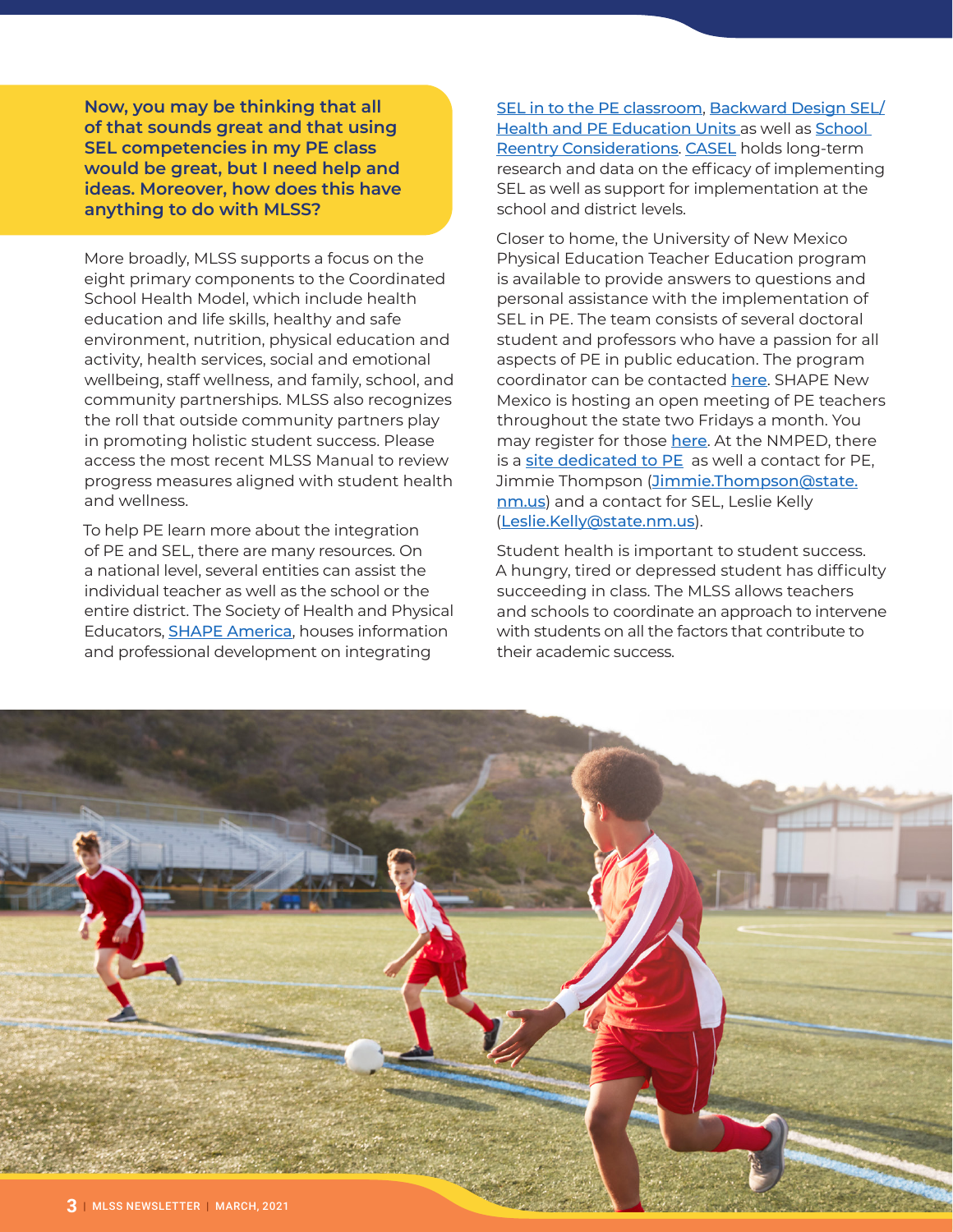**Now, you may be thinking that all of that sounds great and that using SEL competencies in my PE class would be great, but I need help and ideas. Moreover, how does this have anything to do with MLSS?**

More broadly, MLSS supports a focus on the eight primary components to the Coordinated School Health Model, which include health education and life skills, healthy and safe environment, nutrition, physical education and activity, health services, social and emotional wellbeing, staff wellness, and family, school, and community partnerships. MLSS also recognizes the roll that outside community partners play in promoting holistic student success. Please access the most recent [MLSS Manual](https://webnew.ped.state.nm.us/wp-content/uploads/2020/11/MLSS_Manual_2020.pdf) to review progress measures aligned with student health and wellness.

To help PE learn more about the integration of PE and SEL, there are many resources. On a national level, several entities can assist the individual teacher as well as the school or the entire district. The Society of Health and Physical Educators, [SHAPE America](https://www.shapeamerica.org/), houses information and professional development on integrating

[SEL in to the PE classroom](https://www.shapeamerica.org/standards/guidelines/health-education-sel-crosswalk.aspx), [Backward Design SEL/](https://www.shapeamerica.org/about/Backwards_Design_SEL_SBHE_Assessment.aspx) **[Health and PE Education Units](https://www.shapeamerica.org/about/Backwards_Design_SEL_SBHE_Assessment.aspx) as well as School** [Reentry Considerations](https://www.shapeamerica.org/advocacy/reentry/Social_and_Emotional_Learning.aspx). [CASEL](https://casel.org/) holds long-term research and data on the efficacy of implementing SEL as well as support for implementation at the school and district levels.

Closer to home, the University of New Mexico Physical Education Teacher Education program is available to provide answers to questions and personal assistance with the implementation of SEL in PE. The team consists of several doctoral student and professors who have a passion for all aspects of PE in public education. The program coordinator can be contacted [here](mailto:kgaudreault%40unm.edu?subject=). SHAPE New Mexico is hosting an open meeting of PE teachers throughout the state two Fridays a month. You may register for those [here](mailto:shapenewmexico%40gmail.com?subject=). At the NMPED, there is a [site dedicated to PE](https://webnew.ped.state.nm.us/bureaus/safe-healthy-schools/physical-education-pe/) as well a contact for PE, Jimmie Thompson ([Jimmie.Thompson@state.](mailto:Jimmie.Thompson%40state.nm.us?subject=) [nm.us](mailto:Jimmie.Thompson%40state.nm.us?subject=)) and a contact for SEL, Leslie Kelly ([Leslie.Kelly@state.nm.us](mailto:Leslie.Kelly%40state.nm.us?subject=)).

Student health is important to student success. A hungry, tired or depressed student has difficulty succeeding in class. The MLSS allows teachers and schools to coordinate an approach to intervene with students on all the factors that contribute to their academic success.

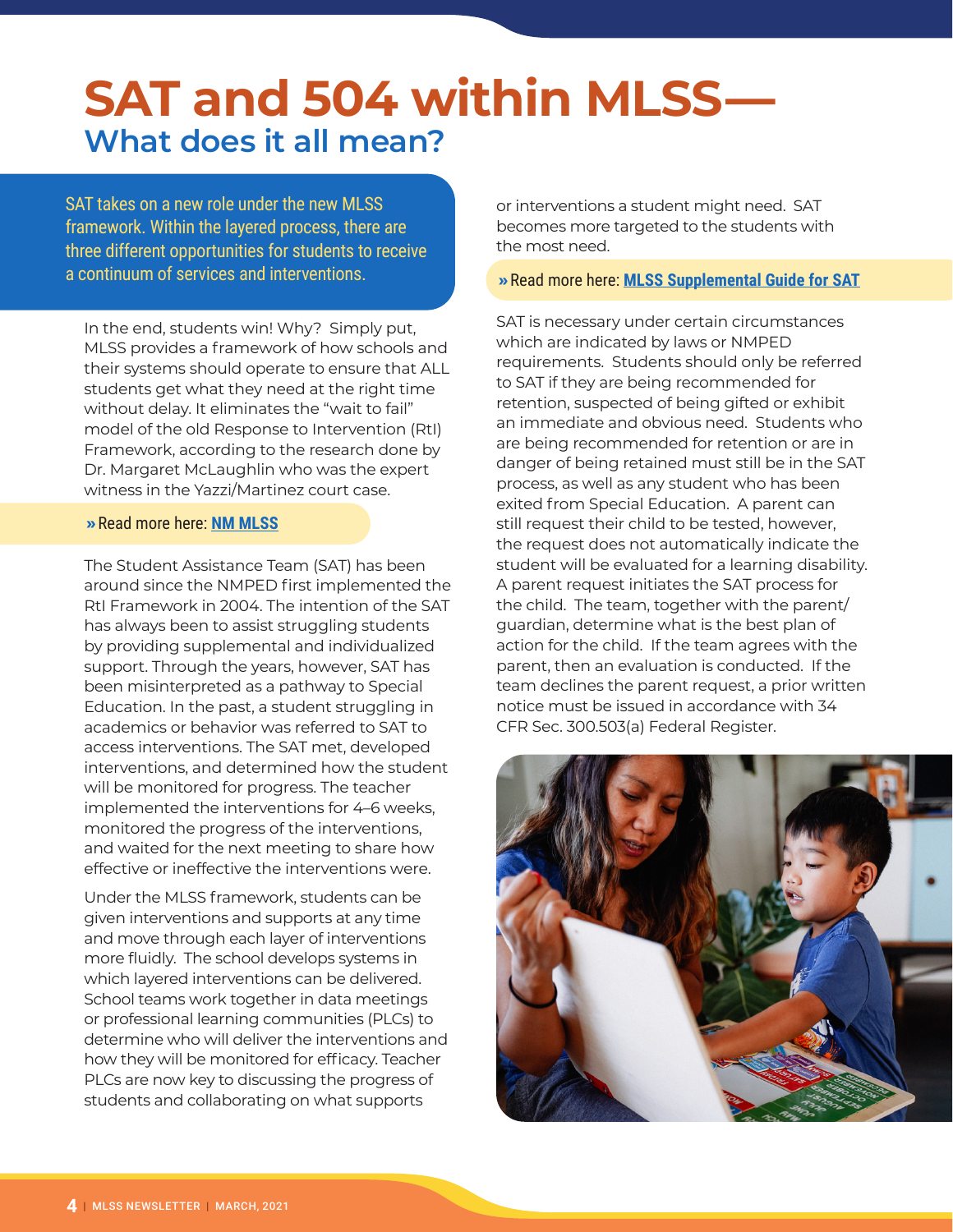# **SAT and 504 within MLSS— What does it all mean?**

SAT takes on a new role under the new MLSS framework. Within the layered process, there are three different opportunities for students to receive a continuum of services and interventions.

In the end, students win! Why? Simply put, MLSS provides a framework of how schools and their systems should operate to ensure that ALL students get what they need at the right time without delay. It eliminates the "wait to fail" model of the old Response to Intervention (RtI) Framework, according to the research done by Dr. Margaret McLaughlin who was the expert witness in the Yazzi/Martinez court case.

# **»**Read more here: **[NM MLSS](https://webnew.ped.state.nm.us/wp-content/uploads/2019/06/MLSS_Background.pdf)**

The Student Assistance Team (SAT) has been around since the NMPED first implemented the RtI Framework in 2004. The intention of the SAT has always been to assist struggling students by providing supplemental and individualized support. Through the years, however, SAT has been misinterpreted as a pathway to Special Education. In the past, a student struggling in academics or behavior was referred to SAT to access interventions. The SAT met, developed interventions, and determined how the student will be monitored for progress. The teacher implemented the interventions for 4–6 weeks, monitored the progress of the interventions, and waited for the next meeting to share how effective or ineffective the interventions were.

Under the MLSS framework, students can be given interventions and supports at any time and move through each layer of interventions more fluidly. The school develops systems in which layered interventions can be delivered. School teams work together in data meetings or professional learning communities (PLCs) to determine who will deliver the interventions and how they will be monitored for efficacy. Teacher PLCs are now key to discussing the progress of students and collaborating on what supports

or interventions a student might need. SAT becomes more targeted to the students with the most need.

### **»**Read more here: **[MLSS Supplemental Guide for SAT](https://webnew.ped.state.nm.us/wp-content/uploads/2020/05/MLSS_SAT_Supplemental-Guide.8.27.19.pdf)**

SAT is necessary under certain circumstances which are indicated by laws or NMPED requirements. Students should only be referred to SAT if they are being recommended for retention, suspected of being gifted or exhibit an immediate and obvious need. Students who are being recommended for retention or are in danger of being retained must still be in the SAT process, as well as any student who has been exited from Special Education. A parent can still request their child to be tested, however, the request does not automatically indicate the student will be evaluated for a learning disability. A parent request initiates the SAT process for the child. The team, together with the parent/ guardian, determine what is the best plan of action for the child. If the team agrees with the parent, then an evaluation is conducted. If the team declines the parent request, a prior written notice must be issued in accordance with 34 CFR Sec. 300.503(a) Federal Register.